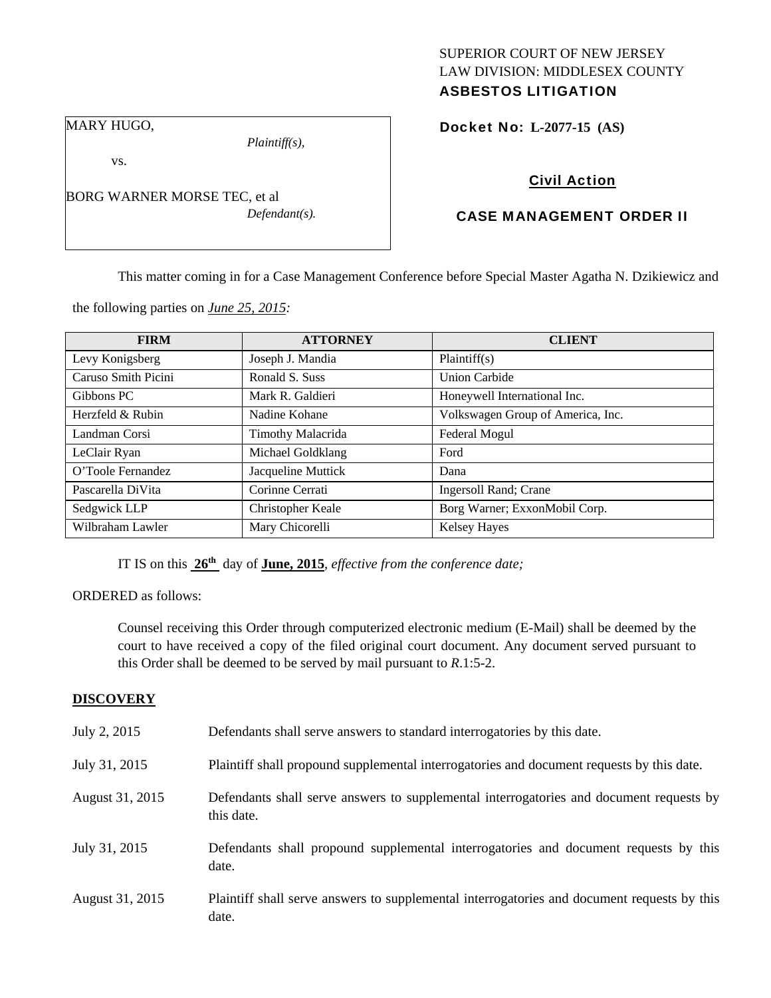### SUPERIOR COURT OF NEW JERSEY LAW DIVISION: MIDDLESEX COUNTY ASBESTOS LITIGATION

MARY HUGO,

*Plaintiff(s),* 

vs.

BORG WARNER MORSE TEC, et al *Defendant(s).*  Docket No: **L-2077-15 (AS)** 

# Civil Action

## CASE MANAGEMENT ORDER II

This matter coming in for a Case Management Conference before Special Master Agatha N. Dzikiewicz and

the following parties on *June 25, 2015:* 

| <b>FIRM</b>         | <b>ATTORNEY</b>    | <b>CLIENT</b>                     |
|---------------------|--------------------|-----------------------------------|
| Levy Konigsberg     | Joseph J. Mandia   | Plaintiff(s)                      |
| Caruso Smith Picini | Ronald S. Suss     | <b>Union Carbide</b>              |
| Gibbons PC          | Mark R. Galdieri   | Honeywell International Inc.      |
| Herzfeld & Rubin    | Nadine Kohane      | Volkswagen Group of America, Inc. |
| Landman Corsi       | Timothy Malacrida  | Federal Mogul                     |
| LeClair Ryan        | Michael Goldklang  | Ford                              |
| O'Toole Fernandez   | Jacqueline Muttick | Dana                              |
| Pascarella DiVita   | Corinne Cerrati    | <b>Ingersoll Rand</b> ; Crane     |
| Sedgwick LLP        | Christopher Keale  | Borg Warner; ExxonMobil Corp.     |
| Wilbraham Lawler    | Mary Chicorelli    | <b>Kelsey Hayes</b>               |

IT IS on this **26th** day of **June, 2015**, *effective from the conference date;*

ORDERED as follows:

Counsel receiving this Order through computerized electronic medium (E-Mail) shall be deemed by the court to have received a copy of the filed original court document. Any document served pursuant to this Order shall be deemed to be served by mail pursuant to *R*.1:5-2.

### **DISCOVERY**

| July 2, 2015    | Defendants shall serve answers to standard interrogatories by this date.                              |
|-----------------|-------------------------------------------------------------------------------------------------------|
| July 31, 2015   | Plaintiff shall propound supplemental interrogatories and document requests by this date.             |
| August 31, 2015 | Defendants shall serve answers to supplemental interrogatories and document requests by<br>this date. |
| July 31, 2015   | Defendants shall propound supplemental interrogatories and document requests by this<br>date.         |
| August 31, 2015 | Plaintiff shall serve answers to supplemental interrogatories and document requests by this<br>date.  |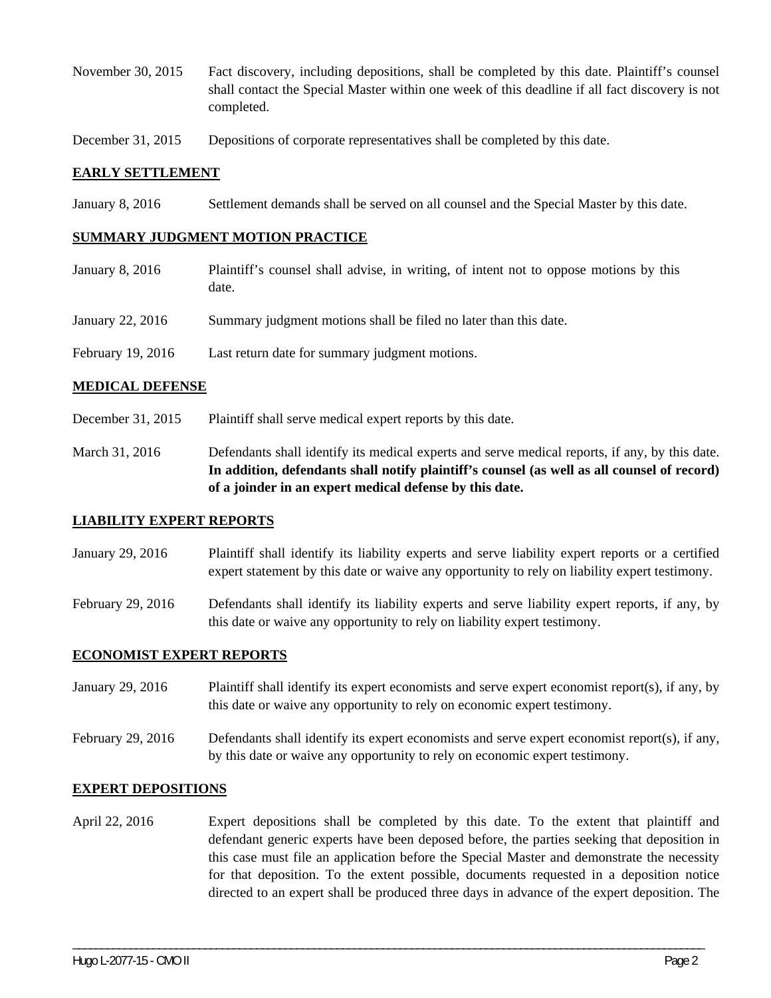- November 30, 2015 Fact discovery, including depositions, shall be completed by this date. Plaintiff's counsel shall contact the Special Master within one week of this deadline if all fact discovery is not completed.
- December 31, 2015 Depositions of corporate representatives shall be completed by this date.

#### **EARLY SETTLEMENT**

January 8, 2016 Settlement demands shall be served on all counsel and the Special Master by this date.

#### **SUMMARY JUDGMENT MOTION PRACTICE**

- January 8, 2016 Plaintiff's counsel shall advise, in writing, of intent not to oppose motions by this date.
- January 22, 2016 Summary judgment motions shall be filed no later than this date.
- February 19, 2016 Last return date for summary judgment motions.

#### **MEDICAL DEFENSE**

- December 31, 2015 Plaintiff shall serve medical expert reports by this date.
- March 31, 2016 Defendants shall identify its medical experts and serve medical reports, if any, by this date. **In addition, defendants shall notify plaintiff's counsel (as well as all counsel of record) of a joinder in an expert medical defense by this date.**

#### **LIABILITY EXPERT REPORTS**

- January 29, 2016 Plaintiff shall identify its liability experts and serve liability expert reports or a certified expert statement by this date or waive any opportunity to rely on liability expert testimony.
- February 29, 2016 Defendants shall identify its liability experts and serve liability expert reports, if any, by this date or waive any opportunity to rely on liability expert testimony.

#### **ECONOMIST EXPERT REPORTS**

- January 29, 2016 Plaintiff shall identify its expert economists and serve expert economist report(s), if any, by this date or waive any opportunity to rely on economic expert testimony.
- February 29, 2016 Defendants shall identify its expert economists and serve expert economist report(s), if any, by this date or waive any opportunity to rely on economic expert testimony.

#### **EXPERT DEPOSITIONS**

April 22, 2016 Expert depositions shall be completed by this date. To the extent that plaintiff and defendant generic experts have been deposed before, the parties seeking that deposition in this case must file an application before the Special Master and demonstrate the necessity for that deposition. To the extent possible, documents requested in a deposition notice directed to an expert shall be produced three days in advance of the expert deposition. The

\_\_\_\_\_\_\_\_\_\_\_\_\_\_\_\_\_\_\_\_\_\_\_\_\_\_\_\_\_\_\_\_\_\_\_\_\_\_\_\_\_\_\_\_\_\_\_\_\_\_\_\_\_\_\_\_\_\_\_\_\_\_\_\_\_\_\_\_\_\_\_\_\_\_\_\_\_\_\_\_\_\_\_\_\_\_\_\_\_\_\_\_\_\_\_\_\_\_\_\_\_\_\_\_\_\_\_\_\_\_